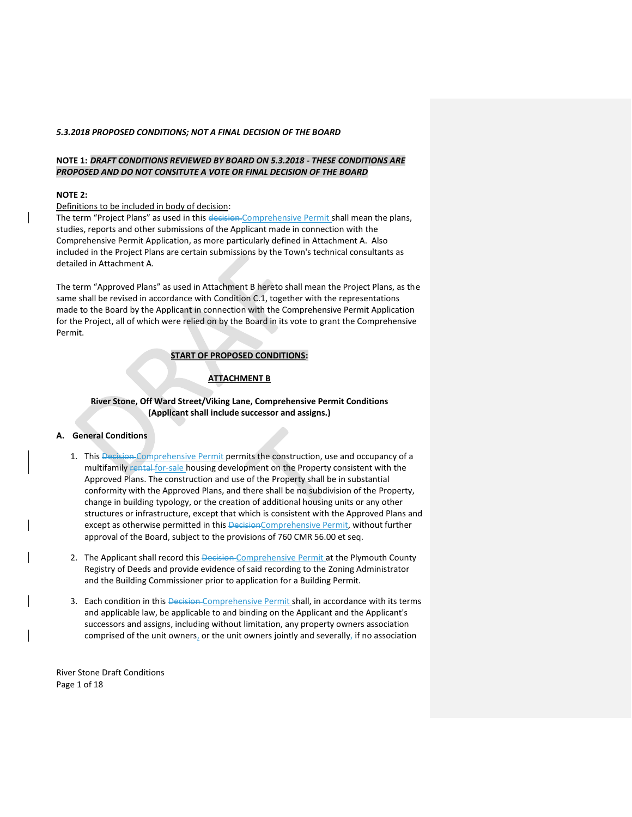## **NOTE 1:** *DRAFT CONDITIONS REVIEWED BY BOARD ON 5.3.2018 - THESE CONDITIONS ARE PROPOSED AND DO NOT CONSITUTE A VOTE OR FINAL DECISION OF THE BOARD*

#### **NOTE 2:**

#### Definitions to be included in body of decision:

The term "Project Plans" as used in this decision-Comprehensive Permit shall mean the plans, studies, reports and other submissions of the Applicant made in connection with the Comprehensive Permit Application, as more particularly defined in Attachment A. Also included in the Project Plans are certain submissions by the Town's technical consultants as detailed in Attachment A.

The term "Approved Plans" as used in Attachment B hereto shall mean the Project Plans, as the same shall be revised in accordance with Condition C.1, together with the representations made to the Board by the Applicant in connection with the Comprehensive Permit Application for the Project, all of which were relied on by the Board in its vote to grant the Comprehensive Permit.

# **START OF PROPOSED CONDITIONS:**

# **ATTACHMENT B**

# **River Stone, Off Ward Street/Viking Lane, Comprehensive Permit Conditions (Applicant shall include successor and assigns.)**

# **A. General Conditions**

- 1. This Decision Comprehensive Permit permits the construction, use and occupancy of a multifamily rental for-sale housing development on the Property consistent with the Approved Plans. The construction and use of the Property shall be in substantial conformity with the Approved Plans, and there shall be no subdivision of the Property, change in building typology, or the creation of additional housing units or any other structures or infrastructure, except that which is consistent with the Approved Plans and except as otherwise permitted in this DecisionComprehensive Permit, without further approval of the Board, subject to the provisions of 760 CMR 56.00 et seq.
- 2. The Applicant shall record this Decision-Comprehensive Permit at the Plymouth County Registry of Deeds and provide evidence of said recording to the Zoning Administrator and the Building Commissioner prior to application for a Building Permit.
- 3. Each condition in this Decision-Comprehensive Permit shall, in accordance with its terms and applicable law, be applicable to and binding on the Applicant and the Applicant's successors and assigns, including without limitation, any property owners association comprised of the unit owners, or the unit owners jointly and severally, if no association

River Stone Draft Conditions Page 1 of 18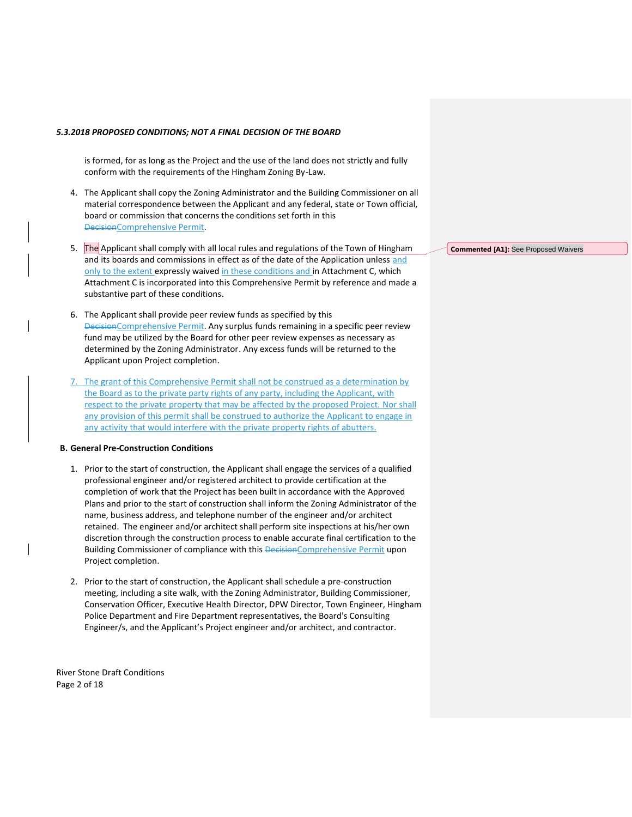is formed, for as long as the Project and the use of the land does not strictly and fully conform with the requirements of the Hingham Zoning By-Law.

- 4. The Applicant shall copy the Zoning Administrator and the Building Commissioner on all material correspondence between the Applicant and any federal, state or Town official, board or commission that concerns the conditions set forth in this DecisionComprehensive Permit.
- 5. The Applicant shall comply with all local rules and regulations of the Town of Hingham and its boards and commissions in effect as of the date of the Application unless and only to the extent expressly waived in these conditions and in Attachment C, which Attachment C is incorporated into this Comprehensive Permit by reference and made a substantive part of these conditions.
- 6. The Applicant shall provide peer review funds as specified by this DecisionComprehensive Permit. Any surplus funds remaining in a specific peer review fund may be utilized by the Board for other peer review expenses as necessary as determined by the Zoning Administrator. Any excess funds will be returned to the Applicant upon Project completion.
- 7. The grant of this Comprehensive Permit shall not be construed as a determination by the Board as to the private party rights of any party, including the Applicant, with respect to the private property that may be affected by the proposed Project. Nor shall any provision of this permit shall be construed to authorize the Applicant to engage in any activity that would interfere with the private property rights of abutters.

#### **B. General Pre-Construction Conditions**

- 1. Prior to the start of construction, the Applicant shall engage the services of a qualified professional engineer and/or registered architect to provide certification at the completion of work that the Project has been built in accordance with the Approved Plans and prior to the start of construction shall inform the Zoning Administrator of the name, business address, and telephone number of the engineer and/or architect retained. The engineer and/or architect shall perform site inspections at his/her own discretion through the construction process to enable accurate final certification to the Building Commissioner of compliance with this DecisionComprehensive Permit upon Project completion.
- 2. Prior to the start of construction, the Applicant shall schedule a pre-construction meeting, including a site walk, with the Zoning Administrator, Building Commissioner, Conservation Officer, Executive Health Director, DPW Director, Town Engineer, Hingham Police Department and Fire Department representatives, the Board's Consulting Engineer/s, and the Applicant's Project engineer and/or architect, and contractor.

River Stone Draft Conditions Page 2 of 18

**Commented [A1]:** See Proposed Waivers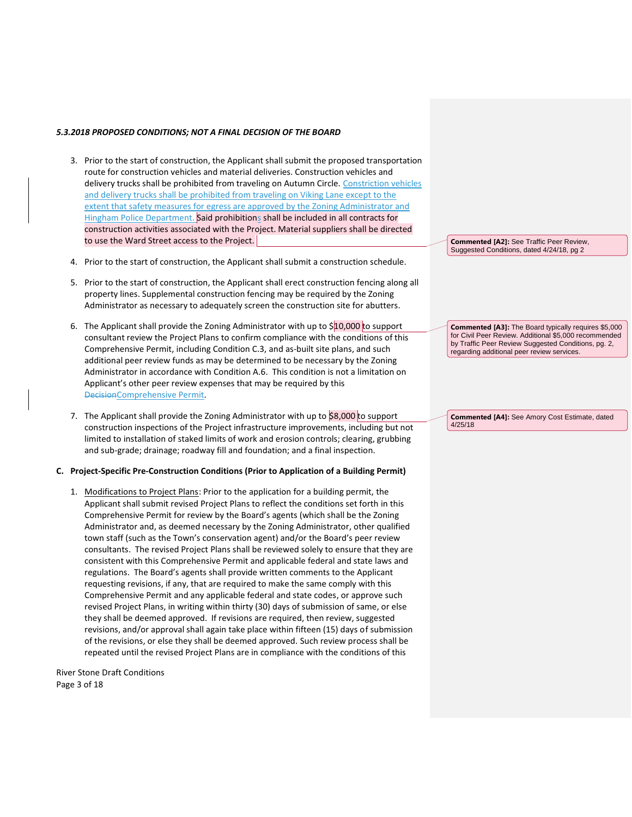- 3. Prior to the start of construction, the Applicant shall submit the proposed transportation route for construction vehicles and material deliveries. Construction vehicles and delivery trucks shall be prohibited from traveling on Autumn Circle. Constriction vehicles and delivery trucks shall be prohibited from traveling on Viking Lane except to the extent that safety measures for egress are approved by the Zoning Administrator and Hingham Police Department. Said prohibitions shall be included in all contracts for construction activities associated with the Project. Material suppliers shall be directed to use the Ward Street access to the Project.
- 4. Prior to the start of construction, the Applicant shall submit a construction schedule.
- 5. Prior to the start of construction, the Applicant shall erect construction fencing along all property lines. Supplemental construction fencing may be required by the Zoning Administrator as necessary to adequately screen the construction site for abutters.
- 6. The Applicant shall provide the Zoning Administrator with up to  $$10,000$  to support consultant review the Project Plans to confirm compliance with the conditions of this Comprehensive Permit, including Condition C.3, and as-built site plans, and such additional peer review funds as may be determined to be necessary by the Zoning Administrator in accordance with Condition A.6. This condition is not a limitation on Applicant's other peer review expenses that may be required by this DecisionComprehensive Permit.
- 7. The Applicant shall provide the Zoning Administrator with up to \$8,000 to support construction inspections of the Project infrastructure improvements, including but not limited to installation of staked limits of work and erosion controls; clearing, grubbing and sub-grade; drainage; roadway fill and foundation; and a final inspection.

## **C. Project-Specific Pre-Construction Conditions (Prior to Application of a Building Permit)**

1. Modifications to Project Plans: Prior to the application for a building permit, the Applicant shall submit revised Project Plans to reflect the conditions set forth in this Comprehensive Permit for review by the Board's agents (which shall be the Zoning Administrator and, as deemed necessary by the Zoning Administrator, other qualified town staff (such as the Town's conservation agent) and/or the Board's peer review consultants. The revised Project Plans shall be reviewed solely to ensure that they are consistent with this Comprehensive Permit and applicable federal and state laws and regulations. The Board's agents shall provide written comments to the Applicant requesting revisions, if any, that are required to make the same comply with this Comprehensive Permit and any applicable federal and state codes, or approve such revised Project Plans, in writing within thirty (30) days of submission of same, or else they shall be deemed approved. If revisions are required, then review, suggested revisions, and/or approval shall again take place within fifteen (15) days of submission of the revisions, or else they shall be deemed approved. Such review process shall be repeated until the revised Project Plans are in compliance with the conditions of this

River Stone Draft Conditions Page 3 of 18

**Commented [A2]:** See Traffic Peer Review, Suggested Conditions, dated 4/24/18, pg 2

**Commented [A3]:** The Board typically requires \$5,000 for Civil Peer Review. Additional \$5,000 recommended by Traffic Peer Review Suggested Conditions, pg. 2, regarding additional peer review services.

**Commented [A4]:** See Amory Cost Estimate, dated 4/25/18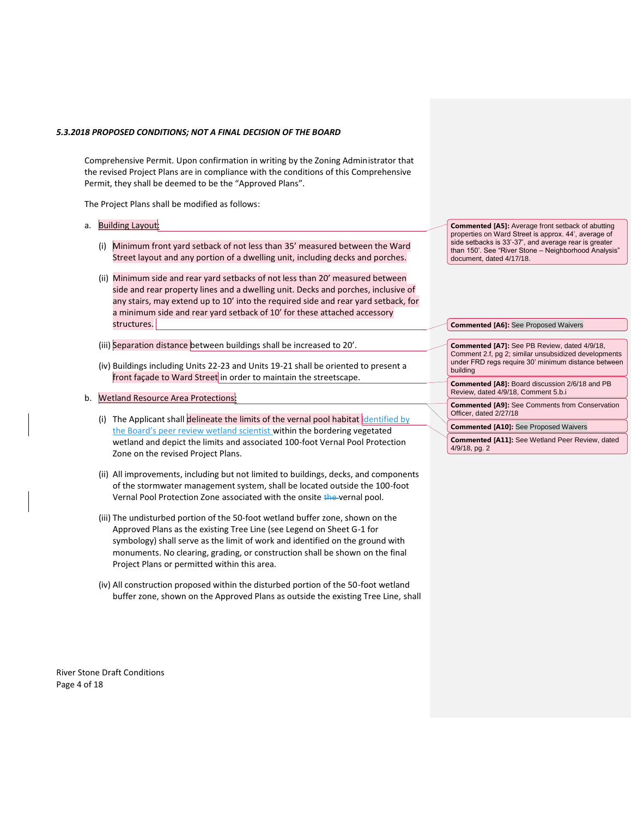Comprehensive Permit. Upon confirmation in writing by the Zoning Administrator that the revised Project Plans are in compliance with the conditions of this Comprehensive Permit, they shall be deemed to be the "Approved Plans".

The Project Plans shall be modified as follows:

- a. Building Layout:
	- (i) Minimum front yard setback of not less than 35' measured between the Ward Street layout and any portion of a dwelling unit, including decks and porches.
	- (ii) Minimum side and rear yard setbacks of not less than 20' measured between side and rear property lines and a dwelling unit. Decks and porches, inclusive of any stairs, may extend up to 10' into the required side and rear yard setback, for a minimum side and rear yard setback of 10' for these attached accessory structures.
	- (iii) Separation distance between buildings shall be increased to 20'.
	- (iv) Buildings including Units 22-23 and Units 19-21 shall be oriented to present a front façade to Ward Street in order to maintain the streetscape.
- b. Wetland Resource Area Protections:
	- (i) The Applicant shall delineate the limits of the vernal pool habitat dentified by the Board's peer review wetland scientist within the bordering vegetated wetland and depict the limits and associated 100-foot Vernal Pool Protection Zone on the revised Project Plans.
	- (ii) All improvements, including but not limited to buildings, decks, and components of the stormwater management system, shall be located outside the 100-foot Vernal Pool Protection Zone associated with the onsite the vernal pool.
	- (iii) The undisturbed portion of the 50-foot wetland buffer zone, shown on the Approved Plans as the existing Tree Line (see Legend on Sheet G-1 for symbology) shall serve as the limit of work and identified on the ground with monuments. No clearing, grading, or construction shall be shown on the final Project Plans or permitted within this area.
	- (iv) All construction proposed within the disturbed portion of the 50-foot wetland buffer zone, shown on the Approved Plans as outside the existing Tree Line, shall

River Stone Draft Conditions Page 4 of 18

**Commented [A5]:** Average front setback of abutting properties on Ward Street is approx. 44', average of side setbacks is 33'-37', and average rear is greater than 150'. See "River Stone – Neighborhood Analysis" document, dated 4/17/18.

#### **Commented [A6]:** See Proposed Waivers

**Commented [A7]:** See PB Review, dated 4/9/18, Comment 2.f, pg 2; similar unsubsidized developments under FRD regs require 30' minimum distance between building

**Commented [A8]:** Board discussion 2/6/18 and PB Review, dated 4/9/18, Comment 5.b.i

**Commented [A9]:** See Comments from Conservation Officer, dated 2/27/18

**Commented [A10]:** See Proposed Waivers

**Commented [A11]:** See Wetland Peer Review, dated 4/9/18, pg. 2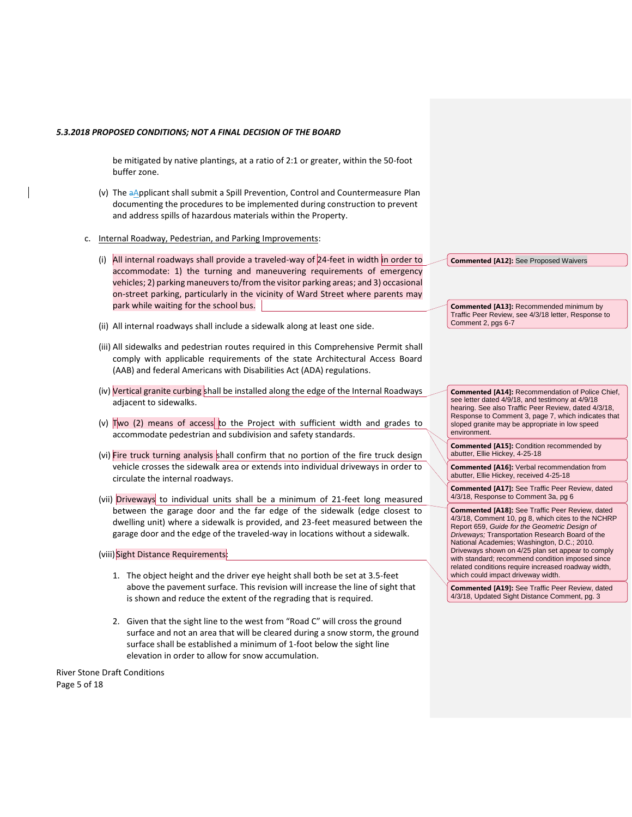be mitigated by native plantings, at a ratio of 2:1 or greater, within the 50-foot buffer zone.

- (v) The aApplicant shall submit a Spill Prevention, Control and Countermeasure Plan documenting the procedures to be implemented during construction to prevent and address spills of hazardous materials within the Property.
- c. Internal Roadway, Pedestrian, and Parking Improvements:
	- (i) All internal roadways shall provide a traveled-way of 24-feet in width in order to accommodate: 1) the turning and maneuvering requirements of emergency vehicles; 2) parking maneuvers to/from the visitor parking areas; and 3) occasional on-street parking, particularly in the vicinity of Ward Street where parents may park while waiting for the school bus.
	- (ii) All internal roadways shall include a sidewalk along at least one side.
	- (iii) All sidewalks and pedestrian routes required in this Comprehensive Permit shall comply with applicable requirements of the state Architectural Access Board (AAB) and federal Americans with Disabilities Act (ADA) regulations.
	- (iv) Vertical granite curbing shall be installed along the edge of the Internal Roadways adjacent to sidewalks.
	- (v)  $\frac{1}{x}$  Two (2) means of access to the Project with sufficient width and grades to accommodate pedestrian and subdivision and safety standards.
	- (vi) Fire truck turning analysis shall confirm that no portion of the fire truck design vehicle crosses the sidewalk area or extends into individual driveways in order to circulate the internal roadways.
	- (vii) Driveways to individual units shall be a minimum of 21-feet long measured between the garage door and the far edge of the sidewalk (edge closest to dwelling unit) where a sidewalk is provided, and 23-feet measured between the garage door and the edge of the traveled-way in locations without a sidewalk.

(viii) Sight Distance Requirements:

- 1. The object height and the driver eye height shall both be set at 3.5-feet above the pavement surface. This revision will increase the line of sight that is shown and reduce the extent of the regrading that is required.
- 2. Given that the sight line to the west from "Road C" will cross the ground surface and not an area that will be cleared during a snow storm, the ground surface shall be established a minimum of 1-foot below the sight line elevation in order to allow for snow accumulation.

River Stone Draft Conditions Page 5 of 18

**Commented [A12]:** See Proposed Waivers

**Commented [A13]:** Recommended minimum by Traffic Peer Review, see 4/3/18 letter, Response to Comment 2, pgs 6-7

**Commented [A14]:** Recommendation of Police Chief, see letter dated 4/9/18, and testimony at 4/9/18 hearing. See also Traffic Peer Review, dated 4/3/18, Response to Comment 3, page 7, which indicates that sloped granite may be appropriate in low speed environment.

**Commented [A15]:** Condition recommended by abutter, Ellie Hickey, 4-25-18

**Commented [A16]:** Verbal recommendation from abutter, Ellie Hickey, received 4-25-18

**Commented [A17]:** See Traffic Peer Review, dated 4/3/18, Response to Comment 3a, pg 6

**Commented [A18]:** See Traffic Peer Review, dated 4/3/18, Comment 10, pg 8, which cites to the NCHRP Report 659, *Guide for the Geometric Design of Driveways;* Transportation Research Board of the National Academies; Washington, D.C.; 2010. Driveways shown on 4/25 plan set appear to comply with standard; recommend condition imposed since related conditions require increased roadway width, which could impact driveway width.

**Commented [A19]:** See Traffic Peer Review, dated 4/3/18, Updated Sight Distance Comment, pg. 3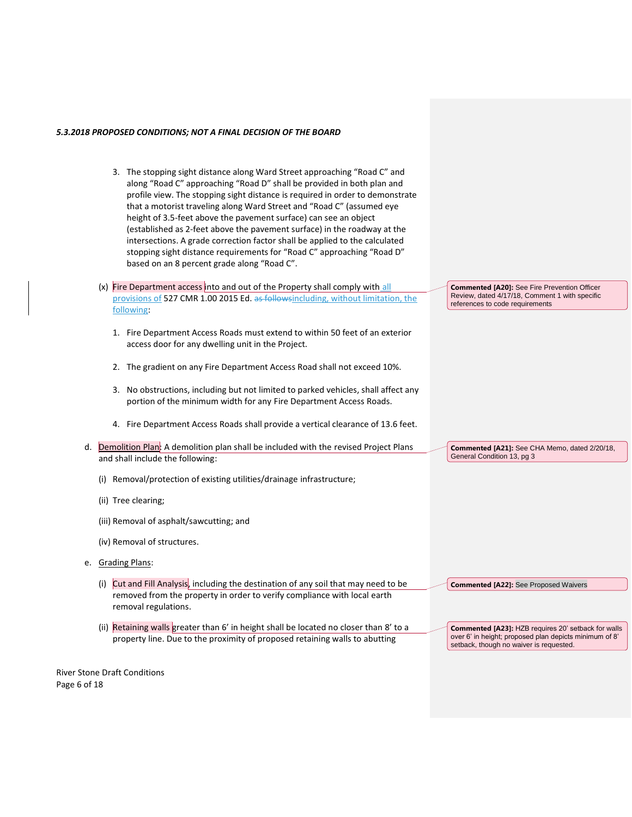- 3. The stopping sight distance along Ward Street approaching "Road C" and along "Road C" approaching "Road D" shall be provided in both plan and profile view. The stopping sight distance is required in order to demonstrate that a motorist traveling along Ward Street and "Road C" (assumed eye height of 3.5-feet above the pavement surface) can see an object (established as 2-feet above the pavement surface) in the roadway at the intersections. A grade correction factor shall be applied to the calculated stopping sight distance requirements for "Road C" approaching "Road D" based on an 8 percent grade along "Road C".
- (x) Fire Department access into and out of the Property shall comply with all provisions of 527 CMR 1.00 2015 Ed. as followsincluding, without limitation, the following:
	- 1. Fire Department Access Roads must extend to within 50 feet of an exterior access door for any dwelling unit in the Project.
	- 2. The gradient on any Fire Department Access Road shall not exceed 10%.
	- 3. No obstructions, including but not limited to parked vehicles, shall affect any portion of the minimum width for any Fire Department Access Roads.
	- 4. Fire Department Access Roads shall provide a vertical clearance of 13.6 feet.
- d. Demolition Plan: A demolition plan shall be included with the revised Project Plans and shall include the following:
	- (i) Removal/protection of existing utilities/drainage infrastructure;
	- (ii) Tree clearing;
	- (iii) Removal of asphalt/sawcutting; and
	- (iv) Removal of structures.
- e. Grading Plans:
	- (i) Cut and Fill Analysis, including the destination of any soil that may need to be removed from the property in order to verify compliance with local earth removal regulations.
	- (ii) Retaining walls greater than 6' in height shall be located no closer than 8' to a property line. Due to the proximity of proposed retaining walls to abutting

**Commented [A20]:** See Fire Prevention Officer Review, dated 4/17/18, Comment 1 with specific references to code requirements

**Commented [A21]:** See CHA Memo, dated 2/20/18, General Condition 13, pg 3

**Commented [A22]:** See Proposed Waivers

**Commented [A23]:** HZB requires 20' setback for walls over 6' in height; proposed plan depicts minimum of 8' setback, though no waiver is requested.

River Stone Draft Conditions Page 6 of 18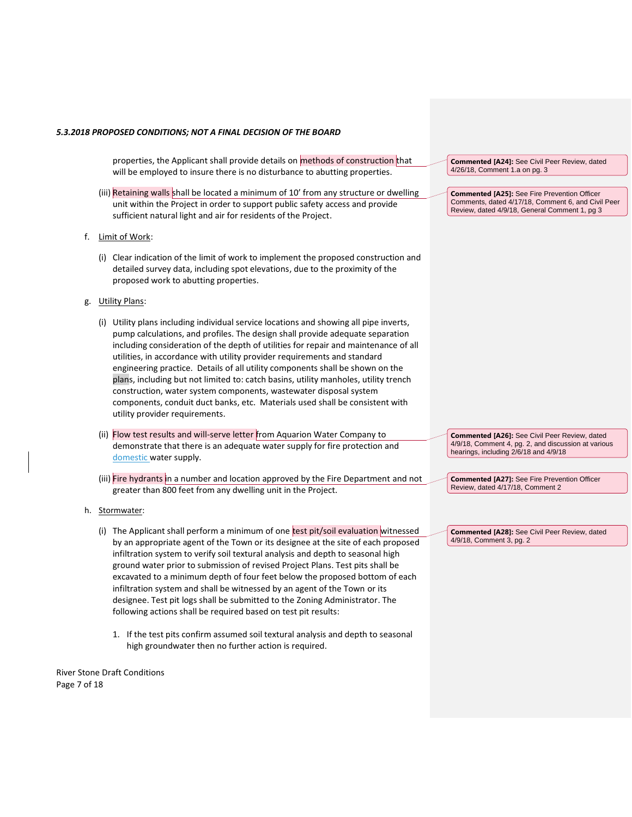properties, the Applicant shall provide details on methods of construction that will be employed to insure there is no disturbance to abutting properties. **Commented [A24]:** See Civil Peer Review, dated 4/26/18, Comment 1.a on pg. 3

- (iii) Retaining walls shall be located a minimum of 10' from any structure or dwelling unit within the Project in order to support public safety access and provide sufficient natural light and air for residents of the Project.
- f. Limit of Work:
	- (i) Clear indication of the limit of work to implement the proposed construction and detailed survey data, including spot elevations, due to the proximity of the proposed work to abutting properties.
- g. Utility Plans:
	- (i) Utility plans including individual service locations and showing all pipe inverts, pump calculations, and profiles. The design shall provide adequate separation including consideration of the depth of utilities for repair and maintenance of all utilities, in accordance with utility provider requirements and standard engineering practice. Details of all utility components shall be shown on the plans, including but not limited to: catch basins, utility manholes, utility trench construction, water system components, wastewater disposal system components, conduit duct banks, etc. Materials used shall be consistent with utility provider requirements.
	- (ii) Flow test results and will-serve letter from Aquarion Water Company to demonstrate that there is an adequate water supply for fire protection and domestic water supply.
	- (iii) Fire hydrants in a number and location approved by the Fire Department and not greater than 800 feet from any dwelling unit in the Project.
- h. Stormwater:
	- (i) The Applicant shall perform a minimum of one test pit/soil evaluation witnessed by an appropriate agent of the Town or its designee at the site of each proposed infiltration system to verify soil textural analysis and depth to seasonal high ground water prior to submission of revised Project Plans. Test pits shall be excavated to a minimum depth of four feet below the proposed bottom of each infiltration system and shall be witnessed by an agent of the Town or its designee. Test pit logs shall be submitted to the Zoning Administrator. The following actions shall be required based on test pit results:
		- 1. If the test pits confirm assumed soil textural analysis and depth to seasonal high groundwater then no further action is required.

River Stone Draft Conditions Page 7 of 18

**Commented [A25]:** See Fire Prevention Officer Comments, dated 4/17/18, Comment 6, and Civil Peer Review, dated 4/9/18, General Comment 1, pg 3

**Commented [A26]:** See Civil Peer Review, dated 4/9/18, Comment 4, pg. 2, and discussion at various hearings, including 2/6/18 and 4/9/18

**Commented [A27]:** See Fire Prevention Officer Review, dated 4/17/18, Comment 2

**Commented [A28]:** See Civil Peer Review, dated 4/9/18, Comment 3, pg. 2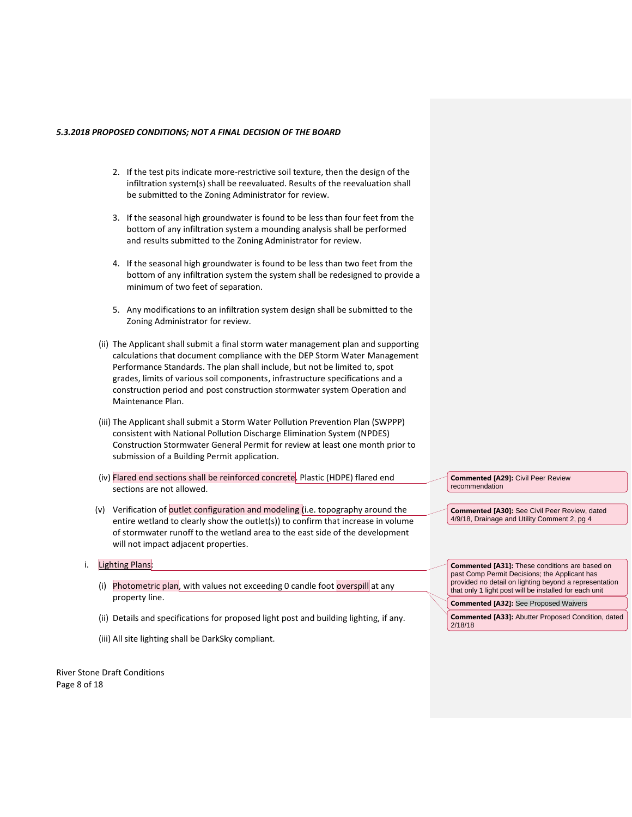- 2. If the test pits indicate more-restrictive soil texture, then the design of the infiltration system(s) shall be reevaluated. Results of the reevaluation shall be submitted to the Zoning Administrator for review.
- 3. If the seasonal high groundwater is found to be less than four feet from the bottom of any infiltration system a mounding analysis shall be performed and results submitted to the Zoning Administrator for review.
- 4. If the seasonal high groundwater is found to be less than two feet from the bottom of any infiltration system the system shall be redesigned to provide a minimum of two feet of separation.
- 5. Any modifications to an infiltration system design shall be submitted to the Zoning Administrator for review.
- (ii) The Applicant shall submit a final storm water management plan and supporting calculations that document compliance with the DEP Storm Water Management Performance Standards. The plan shall include, but not be limited to, spot grades, limits of various soil components, infrastructure specifications and a construction period and post construction stormwater system Operation and Maintenance Plan.
- (iii) The Applicant shall submit a Storm Water Pollution Prevention Plan (SWPPP) consistent with National Pollution Discharge Elimination System (NPDES) Construction Stormwater General Permit for review at least one month prior to submission of a Building Permit application.
- (iv) Flared end sections shall be reinforced concrete. Plastic (HDPE) flared end sections are not allowed.
- (v) Verification of outlet configuration and modeling (i.e. topography around the entire wetland to clearly show the outlet(s)) to confirm that increase in volume of stormwater runoff to the wetland area to the east side of the development will not impact adjacent properties.
- i. Lighting Plans:
	- (i) Photometric plan, with values not exceeding 0 candle foot overspill at any property line.
	- (ii) Details and specifications for proposed light post and building lighting, if any.
	- (iii) All site lighting shall be DarkSky compliant.

River Stone Draft Conditions Page 8 of 18

**Commented [A29]:** Civil Peer Review recommendation

**Commented [A30]:** See Civil Peer Review, dated 4/9/18, Drainage and Utility Comment 2, pg 4

**Commented [A31]:** These conditions are based on past Comp Permit Decisions; the Applicant has provided no detail on lighting beyond a representation that only 1 light post will be installed for each unit

**Commented [A32]:** See Proposed Waivers

**Commented [A33]:** Abutter Proposed Condition, dated 2/18/18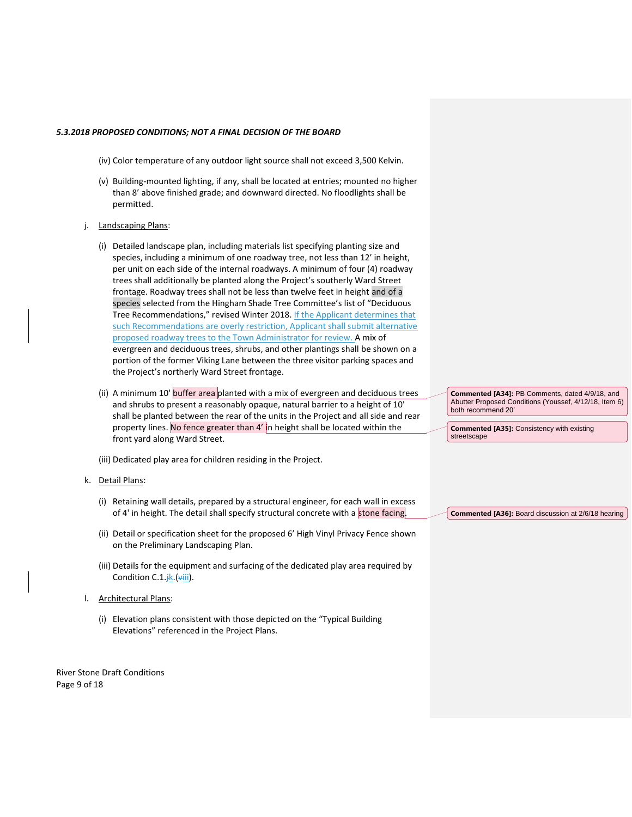- (iv) Color temperature of any outdoor light source shall not exceed 3,500 Kelvin.
- (v) Building-mounted lighting, if any, shall be located at entries; mounted no higher than 8' above finished grade; and downward directed. No floodlights shall be permitted.
- j. Landscaping Plans:
	- (i) Detailed landscape plan, including materials list specifying planting size and species, including a minimum of one roadway tree, not less than 12' in height, per unit on each side of the internal roadways. A minimum of four (4) roadway trees shall additionally be planted along the Project's southerly Ward Street frontage. Roadway trees shall not be less than twelve feet in height and of a species selected from the Hingham Shade Tree Committee's list of "Deciduous Tree Recommendations," revised Winter 2018. If the Applicant determines that such Recommendations are overly restriction, Applicant shall submit alternative proposed roadway trees to the Town Administrator for review. A mix of evergreen and deciduous trees, shrubs, and other plantings shall be shown on a portion of the former Viking Lane between the three visitor parking spaces and the Project's northerly Ward Street frontage.
	- (ii) A minimum 10' buffer area planted with a mix of evergreen and deciduous trees and shrubs to present a reasonably opaque, natural barrier to a height of 10' shall be planted between the rear of the units in the Project and all side and rear property lines. No fence greater than 4' in height shall be located within the front yard along Ward Street.

(iii) Dedicated play area for children residing in the Project.

- k. Detail Plans:
	- (i) Retaining wall details, prepared by a structural engineer, for each wall in excess of 4' in height. The detail shall specify structural concrete with a stone facing.
	- (ii) Detail or specification sheet for the proposed 6' High Vinyl Privacy Fence shown on the Preliminary Landscaping Plan.
	- (iii) Details for the equipment and surfacing of the dedicated play area required by Condition C.1. $\frac{1}{2}$ k. ( $\frac{1}{2}$ iii).
- l. Architectural Plans:
	- (i) Elevation plans consistent with those depicted on the "Typical Building Elevations" referenced in the Project Plans.

River Stone Draft Conditions Page 9 of 18

**Commented [A34]:** PB Comments, dated 4/9/18, and Abutter Proposed Conditions (Youssef, 4/12/18, Item 6) both recommend 20'

**Commented [A35]:** Consistency with existing streetscape

**Commented [A36]:** Board discussion at 2/6/18 hearing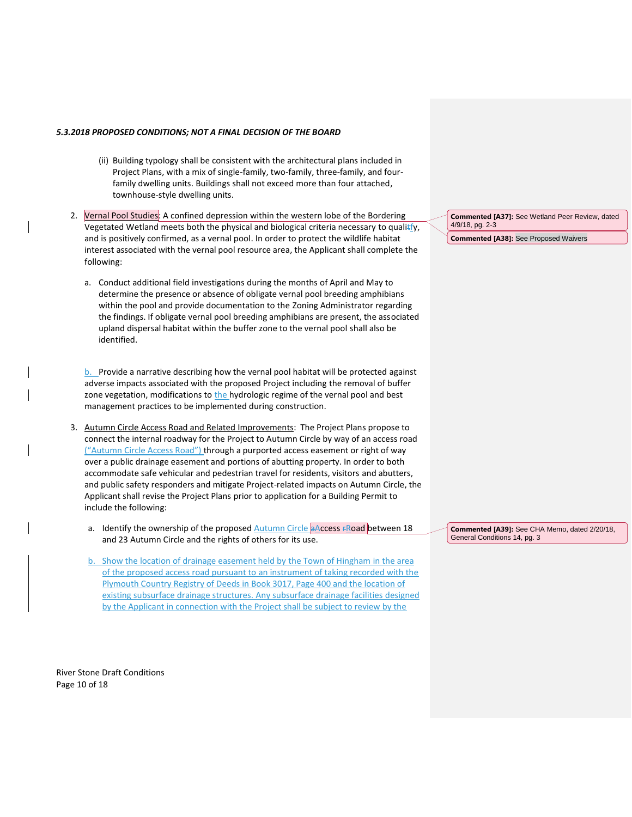- (ii) Building typology shall be consistent with the architectural plans included in Project Plans, with a mix of single-family, two-family, three-family, and fourfamily dwelling units. Buildings shall not exceed more than four attached, townhouse-style dwelling units.
- 2. Vernal Pool Studies: A confined depression within the western lobe of the Bordering Vegetated Wetland meets both the physical and biological criteria necessary to qualitfy, and is positively confirmed, as a vernal pool. In order to protect the wildlife habitat interest associated with the vernal pool resource area, the Applicant shall complete the following:
	- a. Conduct additional field investigations during the months of April and May to determine the presence or absence of obligate vernal pool breeding amphibians within the pool and provide documentation to the Zoning Administrator regarding the findings. If obligate vernal pool breeding amphibians are present, the associated upland dispersal habitat within the buffer zone to the vernal pool shall also be identified.

 $b.$  Provide a narrative describing how the vernal pool habitat will be protected against adverse impacts associated with the proposed Project including the removal of buffer zone vegetation, modifications to the hydrologic regime of the vernal pool and best management practices to be implemented during construction.

- 3. Autumn Circle Access Road and Related Improvements: The Project Plans propose to connect the internal roadway for the Project to Autumn Circle by way of an access road ("Autumn Circle Access Road") through a purported access easement or right of way over a public drainage easement and portions of abutting property. In order to both accommodate safe vehicular and pedestrian travel for residents, visitors and abutters, and public safety responders and mitigate Project-related impacts on Autumn Circle, the Applicant shall revise the Project Plans prior to application for a Building Permit to include the following:
	- a. Identify the ownership of the proposed  $\frac{\text{Autumn} \, \text{Circle}}{\text{A} \, \text{A} \, \text{A} \, \text{C} \, \text{C} \, \text{A} \, \text{C} \, \text{A}}$  between 18 and 23 Autumn Circle and the rights of others for its use.
	- b. Show the location of drainage easement held by the Town of Hingham in the area of the proposed access road pursuant to an instrument of taking recorded with the Plymouth Country Registry of Deeds in Book 3017, Page 400 and the location of existing subsurface drainage structures. Any subsurface drainage facilities designed by the Applicant in connection with the Project shall be subject to review by the

River Stone Draft Conditions Page 10 of 18

**Commented [A37]:** See Wetland Peer Review, dated 4/9/18, pg. 2-3 **Commented [A38]:** See Proposed Waivers

**Commented [A39]:** See CHA Memo, dated 2/20/18, General Conditions 14, pg. 3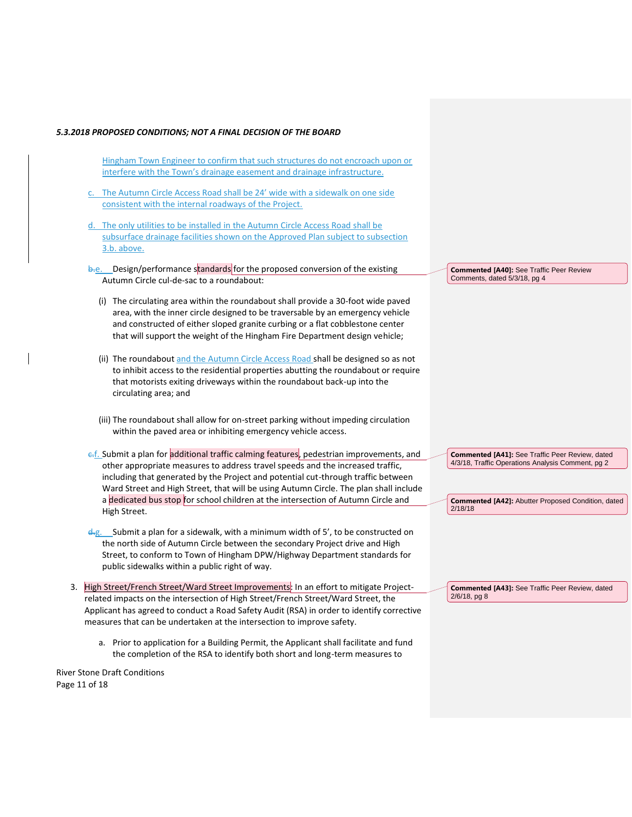- Hingham Town Engineer to confirm that such structures do not encroach upon or interfere with the Town's drainage easement and drainage infrastructure.
- The Autumn Circle Access Road shall be 24' wide with a sidewalk on one side consistent with the internal roadways of the Project.
- d. The only utilities to be installed in the Autumn Circle Access Road shall be subsurface drainage facilities shown on the Approved Plan subject to subsection 3.b. above.
- b.e. Design/performance standards for the proposed conversion of the existing Autumn Circle cul-de-sac to a roundabout:
	- (i) The circulating area within the roundabout shall provide a 30-foot wide paved area, with the inner circle designed to be traversable by an emergency vehicle and constructed of either sloped granite curbing or a flat cobblestone center that will support the weight of the Hingham Fire Department design vehicle;
	- (ii) The roundabout and the Autumn Circle Access Road shall be designed so as not to inhibit access to the residential properties abutting the roundabout or require that motorists exiting driveways within the roundabout back-up into the circulating area; and
	- (iii) The roundabout shall allow for on-street parking without impeding circulation within the paved area or inhibiting emergency vehicle access.
- e.f. Submit a plan for additional traffic calming features, pedestrian improvements, and other appropriate measures to address travel speeds and the increased traffic, including that generated by the Project and potential cut-through traffic between Ward Street and High Street, that will be using Autumn Circle. The plan shall include a dedicated bus stop for school children at the intersection of Autumn Circle and High Street.
- d-g. Submit a plan for a sidewalk, with a minimum width of 5', to be constructed on the north side of Autumn Circle between the secondary Project drive and High Street, to conform to Town of Hingham DPW/Highway Department standards for public sidewalks within a public right of way.
- 3. High Street/French Street/Ward Street Improvements: In an effort to mitigate Projectrelated impacts on the intersection of High Street/French Street/Ward Street, the Applicant has agreed to conduct a Road Safety Audit (RSA) in order to identify corrective measures that can be undertaken at the intersection to improve safety.
	- a. Prior to application for a Building Permit, the Applicant shall facilitate and fund the completion of the RSA to identify both short and long-term measures to

River Stone Draft Conditions Page 11 of 18

**Commented [A40]:** See Traffic Peer Review Comments, dated 5/3/18, pg 4

**Commented [A41]:** See Traffic Peer Review, dated 4/3/18, Traffic Operations Analysis Comment, pg 2

**Commented [A42]:** Abutter Proposed Condition, dated 2/18/18

**Commented [A43]:** See Traffic Peer Review, dated 2/6/18, pg 8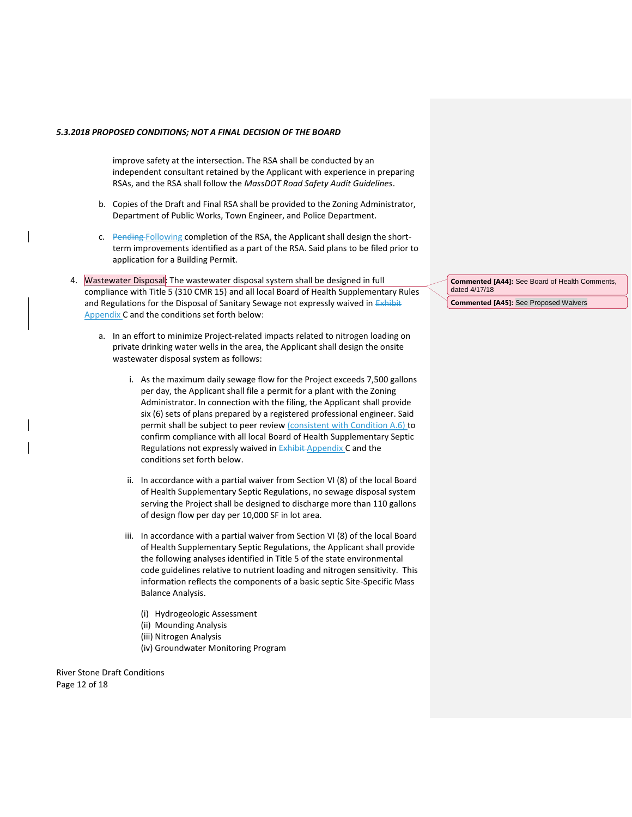improve safety at the intersection. The RSA shall be conducted by an independent consultant retained by the Applicant with experience in preparing RSAs, and the RSA shall follow the *MassDOT Road Safety Audit Guidelines*.

- b. Copies of the Draft and Final RSA shall be provided to the Zoning Administrator, Department of Public Works, Town Engineer, and Police Department.
- c. Pending Following completion of the RSA, the Applicant shall design the shortterm improvements identified as a part of the RSA. Said plans to be filed prior to application for a Building Permit.
- 4. Wastewater Disposal: The wastewater disposal system shall be designed in full compliance with Title 5 (310 CMR 15) and all local Board of Health Supplementary Rules and Regulations for the Disposal of Sanitary Sewage not expressly waived in Exhibit Appendix C and the conditions set forth below:
	- a. In an effort to minimize Project-related impacts related to nitrogen loading on private drinking water wells in the area, the Applicant shall design the onsite wastewater disposal system as follows:
		- i. As the maximum daily sewage flow for the Project exceeds 7,500 gallons per day, the Applicant shall file a permit for a plant with the Zoning Administrator. In connection with the filing, the Applicant shall provide six (6) sets of plans prepared by a registered professional engineer. Said permit shall be subject to peer review (consistent with Condition A.6) to confirm compliance with all local Board of Health Supplementary Septic Regulations not expressly waived in **Exhibit-Appendix C** and the conditions set forth below.
		- ii. In accordance with a partial waiver from Section VI (8) of the local Board of Health Supplementary Septic Regulations, no sewage disposal system serving the Project shall be designed to discharge more than 110 gallons of design flow per day per 10,000 SF in lot area.
		- iii. In accordance with a partial waiver from Section VI (8) of the local Board of Health Supplementary Septic Regulations, the Applicant shall provide the following analyses identified in Title 5 of the state environmental code guidelines relative to nutrient loading and nitrogen sensitivity. This information reflects the components of a basic septic Site-Specific Mass Balance Analysis.
			- (i) Hydrogeologic Assessment
			- (ii) Mounding Analysis
			- (iii) Nitrogen Analysis
			- (iv) Groundwater Monitoring Program

River Stone Draft Conditions Page 12 of 18

**Commented [A44]:** See Board of Health Comments, dated 4/17/18 **Commented [A45]:** See Proposed Waivers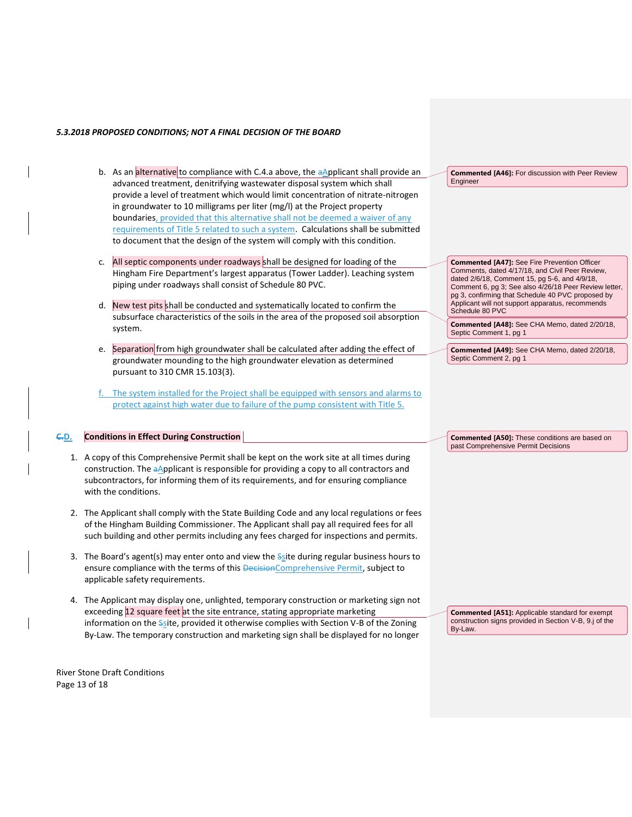- b. As an alternative to compliance with C.4.a above, the aApplicant shall provide an advanced treatment, denitrifying wastewater disposal system which shall provide a level of treatment which would limit concentration of nitrate-nitrogen in groundwater to 10 milligrams per liter (mg/l) at the Project property boundaries, provided that this alternative shall not be deemed a waiver of any requirements of Title 5 related to such a system. Calculations shall be submitted to document that the design of the system will comply with this condition.
- c. All septic components under roadways shall be designed for loading of the Hingham Fire Department's largest apparatus (Tower Ladder). Leaching system piping under roadways shall consist of Schedule 80 PVC.
- d. New test pits shall be conducted and systematically located to confirm the subsurface characteristics of the soils in the area of the proposed soil absorption system.
- e. Separation from high groundwater shall be calculated after adding the effect of groundwater mounding to the high groundwater elevation as determined pursuant to 310 CMR 15.103(3).
- The system installed for the Project shall be equipped with sensors and alarms to protect against high water due to failure of the pump consistent with Title 5.

### **C.D. Conditions in Effect During Construction**

- 1. A copy of this Comprehensive Permit shall be kept on the work site at all times during construction. The aApplicant is responsible for providing a copy to all contractors and subcontractors, for informing them of its requirements, and for ensuring compliance with the conditions.
- 2. The Applicant shall comply with the State Building Code and any local regulations or fees of the Hingham Building Commissioner. The Applicant shall pay all required fees for all such building and other permits including any fees charged for inspections and permits.
- 3. The Board's agent(s) may enter onto and view the  $S<sub>S</sub>$  ite during regular business hours to ensure compliance with the terms of this DecisionComprehensive Permit, subject to applicable safety requirements.
- 4. The Applicant may display one, unlighted, temporary construction or marketing sign not exceeding 12 square feet at the site entrance, stating appropriate marketing information on the Ssite, provided it otherwise complies with Section V-B of the Zoning By-Law. The temporary construction and marketing sign shall be displayed for no longer

River Stone Draft Conditions Page 13 of 18

**Commented [A46]:** For discussion with Peer Review Engineer

**Commented [A47]:** See Fire Prevention Officer Comments, dated 4/17/18, and Civil Peer Review, dated 2/6/18, Comment 15, pg 5-6, and 4/9/18, Comment 6, pg 3; See also 4/26/18 Peer Review letter, pg 3, confirming that Schedule 40 PVC proposed by Applicant will not support apparatus, recommends Schedule 80 PVC

**Commented [A48]:** See CHA Memo, dated 2/20/18, Septic Comment 1, pg 1

**Commented [A49]:** See CHA Memo, dated 2/20/18, Septic Comment 2, pg 1

**Commented [A50]:** These conditions are based on past Comprehensive Permit Decisions

**Commented [A51]:** Applicable standard for exempt construction signs provided in Section V-B, 9.j of the By-Law.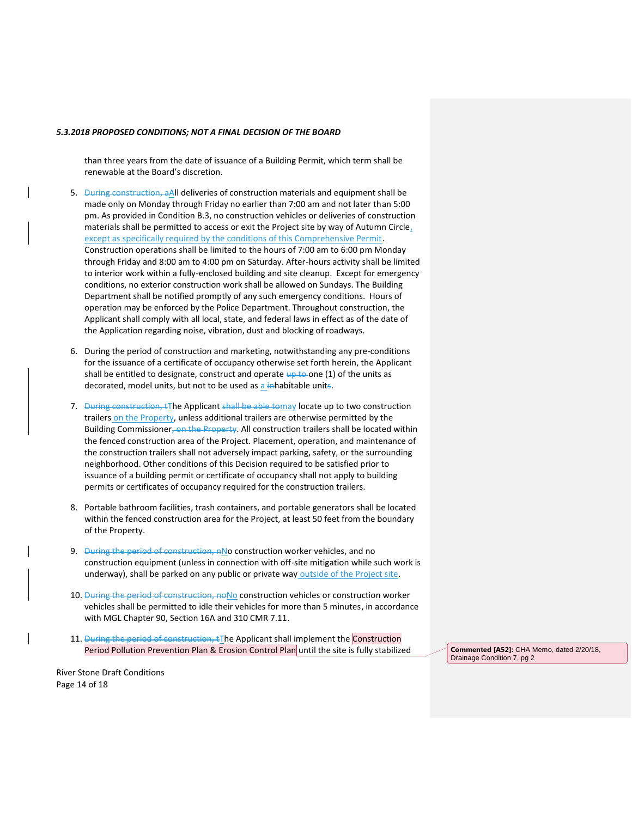than three years from the date of issuance of a Building Permit, which term shall be renewable at the Board's discretion.

- 5. During construction, a All deliveries of construction materials and equipment shall be made only on Monday through Friday no earlier than 7:00 am and not later than 5:00 pm. As provided in Condition B.3, no construction vehicles or deliveries of construction materials shall be permitted to access or exit the Project site by way of Autumn Circle, except as specifically required by the conditions of this Comprehensive Permit. Construction operations shall be limited to the hours of 7:00 am to 6:00 pm Monday through Friday and 8:00 am to 4:00 pm on Saturday. After-hours activity shall be limited to interior work within a fully-enclosed building and site cleanup. Except for emergency conditions, no exterior construction work shall be allowed on Sundays. The Building Department shall be notified promptly of any such emergency conditions. Hours of operation may be enforced by the Police Department. Throughout construction, the Applicant shall comply with all local, state, and federal laws in effect as of the date of the Application regarding noise, vibration, dust and blocking of roadways.
- 6. During the period of construction and marketing, notwithstanding any pre-conditions for the issuance of a certificate of occupancy otherwise set forth herein, the Applicant shall be entitled to designate, construct and operate  $\frac{1}{4}$  to one (1) of the units as decorated, model units, but not to be used as a inhabitable units.
- 7. During construction, tThe Applicant shall be able tomay locate up to two construction trailers on the Property, unless additional trailers are otherwise permitted by the Building Commissioner, on the Property. All construction trailers shall be located within the fenced construction area of the Project. Placement, operation, and maintenance of the construction trailers shall not adversely impact parking, safety, or the surrounding neighborhood. Other conditions of this Decision required to be satisfied prior to issuance of a building permit or certificate of occupancy shall not apply to building permits or certificates of occupancy required for the construction trailers.
- 8. Portable bathroom facilities, trash containers, and portable generators shall be located within the fenced construction area for the Project, at least 50 feet from the boundary of the Property.
- 9. During the period of construction, nNo construction worker vehicles, and no construction equipment (unless in connection with off-site mitigation while such work is underway), shall be parked on any public or private way outside of the Project site.
- 10. During the period of construction, noNo construction vehicles or construction worker vehicles shall be permitted to idle their vehicles for more than 5 minutes, in accordance with MGL Chapter 90, Section 16A and 310 CMR 7.11.
- 11. During the period of construction,  $\pm$ The Applicant shall implement the Construction Period Pollution Prevention Plan & Erosion Control Plan until the site is fully stabilized **Commented [A52]:** CHA Memo, dated 2/20/18,

Drainage Condition 7, pg 2

River Stone Draft Conditions Page 14 of 18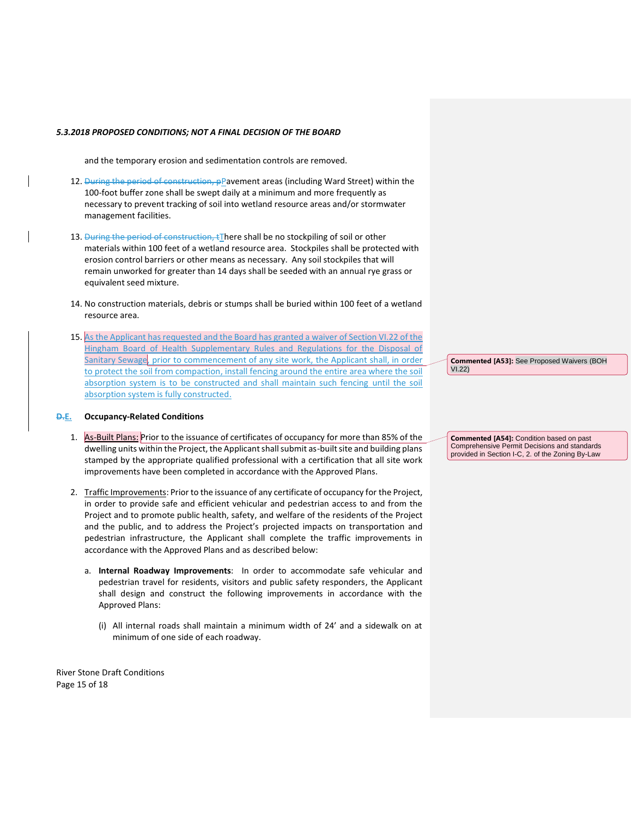and the temporary erosion and sedimentation controls are removed.

- 12. During the period of construction, pPavement areas (including Ward Street) within the 100-foot buffer zone shall be swept daily at a minimum and more frequently as necessary to prevent tracking of soil into wetland resource areas and/or stormwater management facilities.
- 13. During the period of construction, tThere shall be no stockpiling of soil or other materials within 100 feet of a wetland resource area. Stockpiles shall be protected with erosion control barriers or other means as necessary. Any soil stockpiles that will remain unworked for greater than 14 days shall be seeded with an annual rye grass or equivalent seed mixture.
- 14. No construction materials, debris or stumps shall be buried within 100 feet of a wetland resource area.
- 15. As the Applicant has requested and the Board has granted a waiver of Section VI.22 of the Hingham Board of Health Supplementary Rules and Regulations for the Disposal of Sanitary Sewage, prior to commencement of any site work, the Applicant shall, in order to protect the soil from compaction, install fencing around the entire area where the soil absorption system is to be constructed and shall maintain such fencing until the soil absorption system is fully constructed.

#### **D.E. Occupancy-Related Conditions**

- 1. As-Built Plans: Prior to the issuance of certificates of occupancy for more than 85% of the dwelling units within the Project, the Applicant shall submit as-built site and building plans stamped by the appropriate qualified professional with a certification that all site work improvements have been completed in accordance with the Approved Plans.
- 2. Traffic Improvements: Prior to the issuance of any certificate of occupancy for the Project, in order to provide safe and efficient vehicular and pedestrian access to and from the Project and to promote public health, safety, and welfare of the residents of the Project and the public, and to address the Project's projected impacts on transportation and pedestrian infrastructure, the Applicant shall complete the traffic improvements in accordance with the Approved Plans and as described below:
	- a. **Internal Roadway Improvements**: In order to accommodate safe vehicular and pedestrian travel for residents, visitors and public safety responders, the Applicant shall design and construct the following improvements in accordance with the Approved Plans:
		- (i) All internal roads shall maintain a minimum width of 24' and a sidewalk on at minimum of one side of each roadway.

River Stone Draft Conditions Page 15 of 18

**Commented [A53]:** See Proposed Waivers (BOH VI.22)

**Commented [A54]:** Condition based on past Comprehensive Permit Decisions and standards provided in Section I-C, 2. of the Zoning By-Law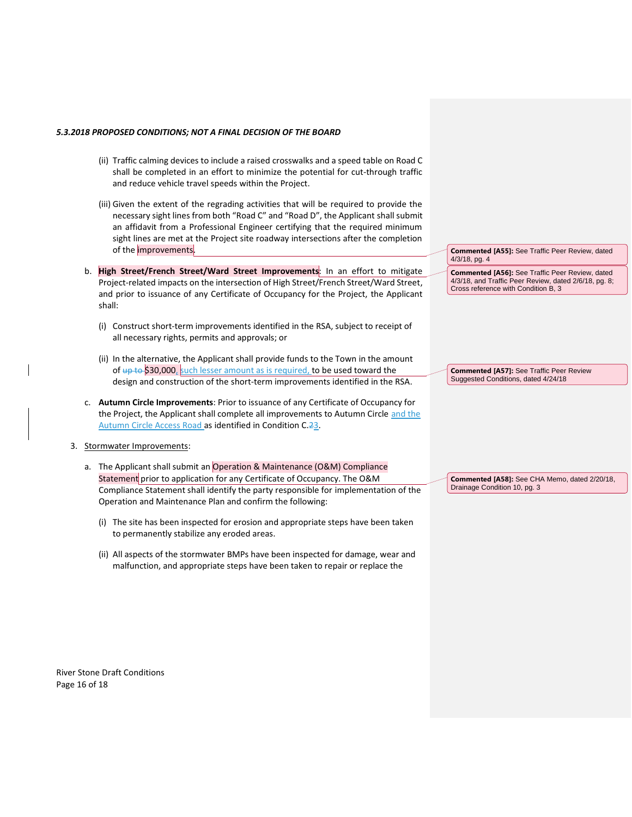- (ii) Traffic calming devices to include a raised crosswalks and a speed table on Road C shall be completed in an effort to minimize the potential for cut-through traffic and reduce vehicle travel speeds within the Project.
- (iii) Given the extent of the regrading activities that will be required to provide the necessary sight lines from both "Road C" and "Road D", the Applicant shall submit an affidavit from a Professional Engineer certifying that the required minimum sight lines are met at the Project site roadway intersections after the completion of the improvements.
- b. **High Street/French Street/Ward Street Improvements**: In an effort to mitigate Project-related impacts on the intersection of High Street/French Street/Ward Street, and prior to issuance of any Certificate of Occupancy for the Project, the Applicant shall:
	- (i) Construct short-term improvements identified in the RSA, subject to receipt of all necessary rights, permits and approvals; or
	- (ii) In the alternative, the Applicant shall provide funds to the Town in the amount of  $\frac{1}{4}$  to \$30,000, such lesser amount as is required, to be used toward the design and construction of the short-term improvements identified in the RSA.
- c. **Autumn Circle Improvements**: Prior to issuance of any Certificate of Occupancy for the Project, the Applicant shall complete all improvements to Autumn Circle and the Autumn Circle Access Road as identified in Condition C.23.
- 3. Stormwater Improvements:
	- a. The Applicant shall submit an Operation & Maintenance (O&M) Compliance Statement prior to application for any Certificate of Occupancy. The O&M Compliance Statement shall identify the party responsible for implementation of the Operation and Maintenance Plan and confirm the following:
		- (i) The site has been inspected for erosion and appropriate steps have been taken to permanently stabilize any eroded areas.
		- (ii) All aspects of the stormwater BMPs have been inspected for damage, wear and malfunction, and appropriate steps have been taken to repair or replace the

**Commented [A55]:** See Traffic Peer Review, dated 4/3/18, pg. 4

**Commented [A56]:** See Traffic Peer Review, dated 4/3/18, and Traffic Peer Review, dated 2/6/18, pg. 8; Cross reference with Condition B, 3

**Commented [A57]:** See Traffic Peer Review Suggested Conditions, dated 4/24/18

**Commented [A58]:** See CHA Memo, dated 2/20/18, Drainage Condition 10, pg. 3

River Stone Draft Conditions Page 16 of 18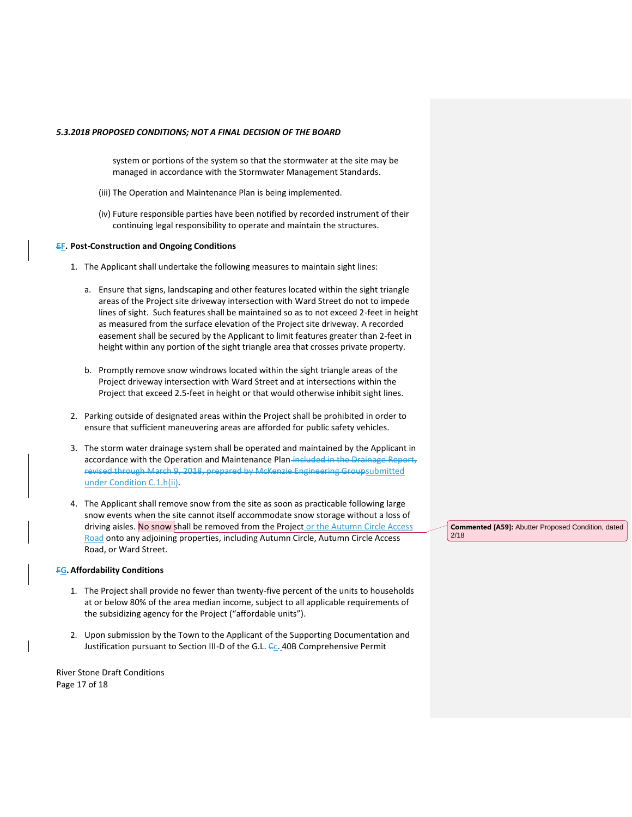system or portions of the system so that the stormwater at the site may be managed in accordance with the Stormwater Management Standards.

- (iii) The Operation and Maintenance Plan is being implemented.
- (iv) Future responsible parties have been notified by recorded instrument of their continuing legal responsibility to operate and maintain the structures.

#### **EF. Post-Construction and Ongoing Conditions**

- 1. The Applicant shall undertake the following measures to maintain sight lines:
	- a. Ensure that signs, landscaping and other features located within the sight triangle areas of the Project site driveway intersection with Ward Street do not to impede lines of sight. Such features shall be maintained so as to not exceed 2-feet in height as measured from the surface elevation of the Project site driveway. A recorded easement shall be secured by the Applicant to limit features greater than 2-feet in height within any portion of the sight triangle area that crosses private property.
	- b. Promptly remove snow windrows located within the sight triangle areas of the Project driveway intersection with Ward Street and at intersections within the Project that exceed 2.5-feet in height or that would otherwise inhibit sight lines.
- 2. Parking outside of designated areas within the Project shall be prohibited in order to ensure that sufficient maneuvering areas are afforded for public safety vehicles.
- 3. The storm water drainage system shall be operated and maintained by the Applicant in accordance with the Operation and Maintenance Plan-included in the Drainage Report, revised through March 9, 2018, prepared by McKenzie Engineering Groupsubmitted under Condition C.1.h(ii).
- 4. The Applicant shall remove snow from the site as soon as practicable following large snow events when the site cannot itself accommodate snow storage without a loss of driving aisles. No snow shall be removed from the Project or the Autumn Circle Access Road onto any adjoining properties, including Autumn Circle, Autumn Circle Access Road, or Ward Street.

### **FG.Affordability Conditions**

- 1. The Project shall provide no fewer than twenty-five percent of the units to households at or below 80% of the area median income, subject to all applicable requirements of the subsidizing agency for the Project ("affordable units").
- 2. Upon submission by the Town to the Applicant of the Supporting Documentation and Justification pursuant to Section III-D of the G.L. Cc. 40B Comprehensive Permit

River Stone Draft Conditions Page 17 of 18

**Commented [A59]:** Abutter Proposed Condition, dated 2/18